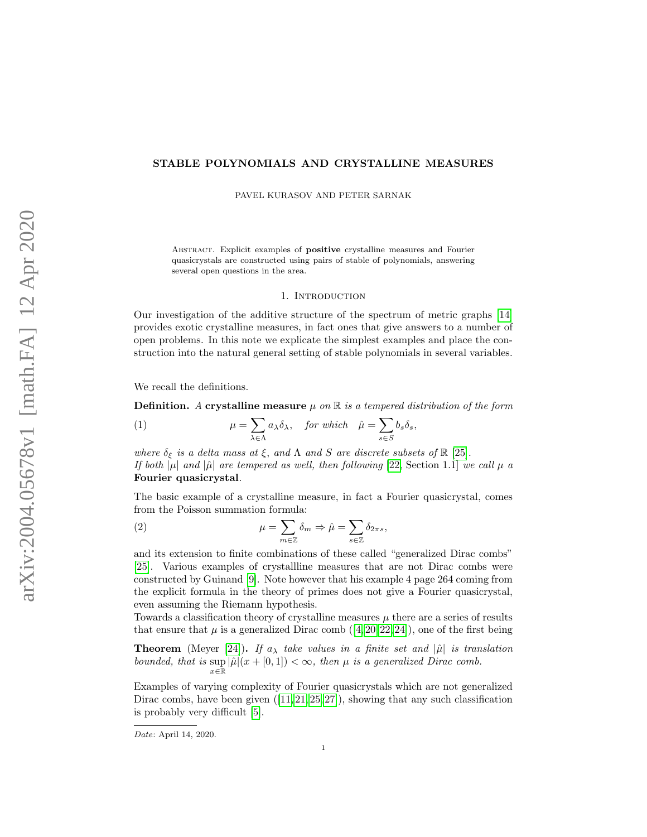# STABLE POLYNOMIALS AND CRYSTALLINE MEASURES

PAVEL KURASOV AND PETER SARNAK

ABSTRACT. Explicit examples of **positive** crystalline measures and Fourier quasicrystals are constructed using pairs of stable of polynomials, answering several open questions in the area.

### 1. INTRODUCTION

Our investigation of the additive structure of the spectrum of metric graphs [\[14\]](#page-13-0) provides exotic crystalline measures, in fact ones that give answers to a number of open problems. In this note we explicate the simplest examples and place the construction into the natural general setting of stable polynomials in several variables.

We recall the definitions.

**Definition.** A crystalline measure  $\mu$  on  $\mathbb R$  is a tempered distribution of the form

<span id="page-0-1"></span>(1) 
$$
\mu = \sum_{\lambda \in \Lambda} a_{\lambda} \delta_{\lambda}, \quad \text{for which} \quad \hat{\mu} = \sum_{s \in S} b_s \delta_s,
$$

where  $\delta_{\xi}$  is a delta mass at  $\xi$ , and  $\Lambda$  and  $S$  are discrete subsets of  $\mathbb{R}$  [\[25\]](#page-14-0). If both  $|\mu|$  and  $|\hat{\mu}|$  are tempered as well, then following [\[22,](#page-14-1) Section 1.1] we call  $\mu$  a Fourier quasicrystal.

The basic example of a crystalline measure, in fact a Fourier quasicrystal, comes from the Poisson summation formula:

<span id="page-0-0"></span>(2) 
$$
\mu = \sum_{m \in \mathbb{Z}} \delta_m \Rightarrow \hat{\mu} = \sum_{s \in \mathbb{Z}} \delta_{2\pi s},
$$

and its extension to finite combinations of these called "generalized Dirac combs" [\[25\]](#page-14-0). Various examples of crystallline measures that are not Dirac combs were constructed by Guinand [\[9\]](#page-13-1). Note however that his example 4 page 264 coming from the explicit formula in the theory of primes does not give a Fourier quasicrystal, even assuming the Riemann hypothesis.

Towards a classification theory of crystalline measures  $\mu$  there are a series of results thatensure that  $\mu$  is a generalized Dirac comb  $(4, 20, 22, 24)$  $(4, 20, 22, 24)$  $(4, 20, 22, 24)$  $(4, 20, 22, 24)$ , one of the first being

**Theorem** (Meyer [\[24\]](#page-14-2)). If  $a_{\lambda}$  take values in a finite set and  $|\hat{\mu}|$  is translation bounded, that is  $\sup_{x \in \mathbb{R}} |\hat{\mu}|(x + [0, 1]) < \infty$ , then  $\mu$  is a generalized Dirac comb.

Examples of varying complexity of Fourier quasicrystals which are not generalized Diraccombs, have been given  $([11, 21, 25, 27])$  $([11, 21, 25, 27])$  $([11, 21, 25, 27])$  $([11, 21, 25, 27])$  $([11, 21, 25, 27])$  $([11, 21, 25, 27])$ , showing that any such classification is probably very difficult [\[5\]](#page-13-6).

Date: April 14, 2020.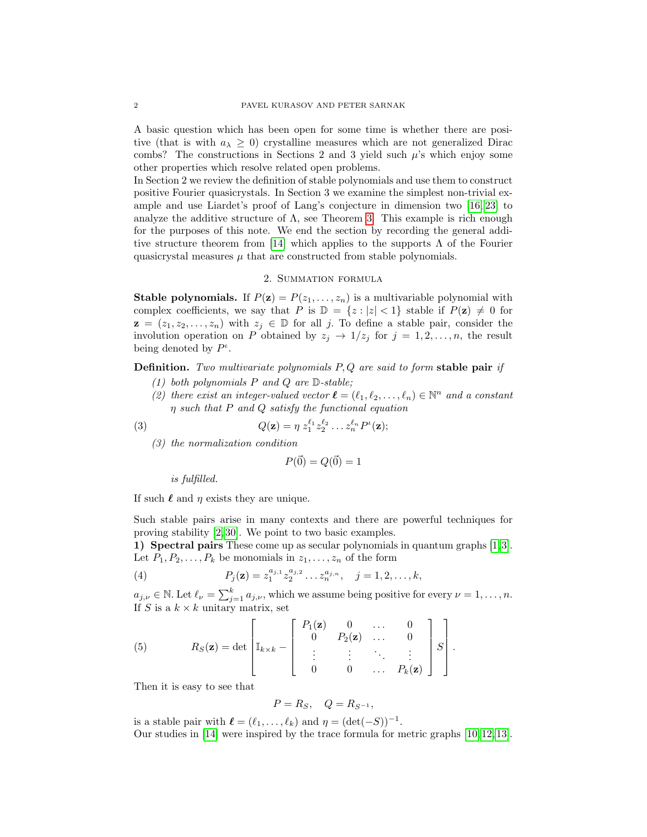A basic question which has been open for some time is whether there are positive (that is with  $a_{\lambda} \geq 0$ ) crystalline measures which are not generalized Dirac combs? The constructions in Sections 2 and 3 yield such  $\mu$ 's which enjoy some other properties which resolve related open problems.

In Section 2 we review the definition of stable polynomials and use them to construct positive Fourier quasicrystals. In Section 3 we examine the simplest non-trivial example and use Liardet's proof of Lang's conjecture in dimension two [\[16,](#page-13-7) [23\]](#page-14-4) to analyze the additive structure of  $\Lambda$ , see Theorem [3.](#page-10-0) This example is rich enough for the purposes of this note. We end the section by recording the general addi-tive structure theorem from [\[14\]](#page-13-0) which applies to the supports  $\Lambda$  of the Fourier quasicrystal measures  $\mu$  that are constructed from stable polynomials.

# 2. Summation formula

**Stable polynomials.** If  $P(\mathbf{z}) = P(z_1, \ldots, z_n)$  is a multivariable polynomial with complex coefficients, we say that P is  $\mathbb{D} = \{z : |z| < 1\}$  stable if  $P(\mathbf{z}) \neq 0$  for  $z = (z_1, z_2, \ldots, z_n)$  with  $z_j \in \mathbb{D}$  for all j. To define a stable pair, consider the involution operation on P obtained by  $z_j \to 1/z_j$  for  $j = 1, 2, ..., n$ , the result being denoted by  $P^{\iota}$ .

**Definition.** Two multivariate polynomials  $P, Q$  are said to form stable pair if

- (1) both polynomials  $P$  and  $Q$  are  $D$ -stable;
- (2) there exist an integer-valued vector  $\boldsymbol{\ell} = (\ell_1, \ell_2, \ldots, \ell_n) \in \mathbb{N}^n$  and a constant η such that P and Q satisfy the functional equation

(3) 
$$
Q(\mathbf{z}) = \eta z_1^{\ell_1} z_2^{\ell_2} \dots z_n^{\ell_n} P^{\iota}(\mathbf{z});
$$

(3) the normalization condition

<span id="page-1-0"></span>
$$
P(\vec{0}) = Q(\vec{0}) = 1
$$

is fulfilled.

If such  $\ell$  and  $\eta$  exists they are unique.

Such stable pairs arise in many contexts and there are powerful techniques for proving stability [\[2,](#page-13-8) [30\]](#page-14-5). We point to two basic examples.

1) Spectral pairs These come up as secular polynomials in quantum graphs [\[1,](#page-13-9) [3\]](#page-13-10). Let  $P_1, P_2, \ldots, P_k$  be monomials in  $z_1, \ldots, z_n$  of the form

(4) 
$$
P_j(\mathbf{z}) = z_1^{a_{j,1}} z_2^{a_{j,2}} \dots z_n^{a_{j,n}}, \quad j = 1, 2, \dots, k,
$$

 $a_{j,\nu} \in \mathbb{N}$ . Let  $\ell_{\nu} = \sum_{j=1}^{k} a_{j,\nu}$ , which we assume being positive for every  $\nu = 1, \ldots, n$ . If S is a  $k \times k$  unitary matrix, set

(5) 
$$
R_S(\mathbf{z}) = \det \begin{bmatrix} P_1(\mathbf{z}) & 0 & \dots & 0 \\ 0 & P_2(\mathbf{z}) & \dots & 0 \\ \vdots & \vdots & \ddots & \vdots \\ 0 & 0 & \dots & P_k(\mathbf{z}) \end{bmatrix} S.
$$

Then it is easy to see that

$$
P=R_S, \quad Q=R_{S^{-1}},
$$

is a stable pair with  $\ell = (\ell_1, \ldots, \ell_k)$  and  $\eta = (\det(-S))^{-1}$ . Our studies in [\[14\]](#page-13-0) were inspired by the trace formula for metric graphs [\[10,](#page-13-11) [12,](#page-13-12) [13\]](#page-13-13).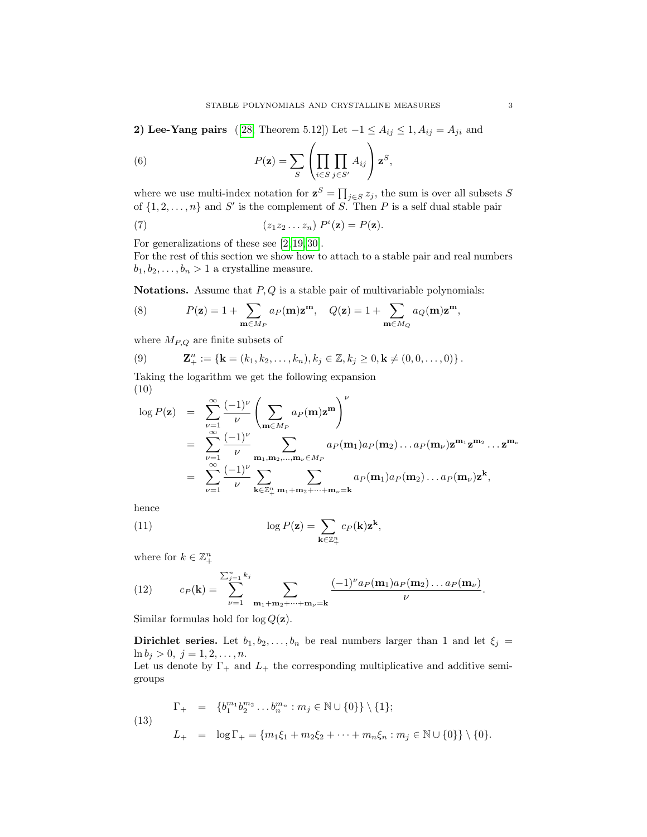2) Lee-Yang pairs ([\[28,](#page-14-6) Theorem 5.12]) Let  $-1 \le A_{ij} \le 1, A_{ij} = A_{ji}$  and

(6) 
$$
P(\mathbf{z}) = \sum_{S} \left( \prod_{i \in S} \prod_{j \in S'} A_{ij} \right) \mathbf{z}^{S},
$$

where we use multi-index notation for  $z^S = \prod_{j \in S} z_j$ , the sum is over all subsets S of  $\{1, 2, \ldots, n\}$  and S' is the complement of S. Then P is a self dual stable pair

(7) 
$$
(z_1z_2...z_n) P'(\mathbf{z}) = P(\mathbf{z}).
$$

For generalizations of these see [\[2,](#page-13-8) [19,](#page-13-14) [30\]](#page-14-5).

For the rest of this section we show how to attach to a stable pair and real numbers  $b_1, b_2, \ldots, b_n > 1$  a crystalline measure.

Notations. Assume that  $P, Q$  is a stable pair of multivariable polynomials:

(8) 
$$
P(\mathbf{z}) = 1 + \sum_{\mathbf{m} \in M_P} a_P(\mathbf{m}) \mathbf{z}^{\mathbf{m}}, \quad Q(\mathbf{z}) = 1 + \sum_{\mathbf{m} \in M_Q} a_Q(\mathbf{m}) \mathbf{z}^{\mathbf{m}},
$$

where  $M_{P,Q}$  are finite subsets of

(9) 
$$
\mathbf{Z}_{+}^{n} := \{ \mathbf{k} = (k_1, k_2, \ldots, k_n), k_j \in \mathbb{Z}, k_j \geq 0, \mathbf{k} \neq (0, 0, \ldots, 0) \}.
$$

Taking the logarithm we get the following expansion (10)

$$
\log P(\mathbf{z}) = \sum_{\nu=1}^{\infty} \frac{(-1)^{\nu}}{\nu} \left( \sum_{\mathbf{m} \in M_P} a_P(\mathbf{m}) \mathbf{z}^{\mathbf{m}} \right)^{\nu}
$$
  
\n
$$
= \sum_{\nu=1}^{\infty} \frac{(-1)^{\nu}}{\nu} \sum_{\mathbf{m}_1, \mathbf{m}_2, \dots, \mathbf{m}_{\nu} \in M_P} a_P(\mathbf{m}_1) a_P(\mathbf{m}_2) \dots a_P(\mathbf{m}_{\nu}) \mathbf{z}^{\mathbf{m}_1} \mathbf{z}^{\mathbf{m}_2} \dots \mathbf{z}^{\mathbf{m}_{\nu}}
$$
  
\n
$$
= \sum_{\nu=1}^{\infty} \frac{(-1)^{\nu}}{\nu} \sum_{\mathbf{k} \in \mathbb{Z}_+^n} \sum_{\mathbf{m}_1 + \mathbf{m}_2 + \dots + \mathbf{m}_{\nu} = \mathbf{k}} a_P(\mathbf{m}_1) a_P(\mathbf{m}_2) \dots a_P(\mathbf{m}_{\nu}) \mathbf{z}^{\mathbf{k}},
$$

hence

<span id="page-2-1"></span>(11) 
$$
\log P(\mathbf{z}) = \sum_{\mathbf{k} \in \mathbb{Z}_{+}^{n}} c_{P}(\mathbf{k}) \mathbf{z}^{\mathbf{k}},
$$

where for  $k \in \mathbb{Z}_{+}^{n}$ 

(12) 
$$
c_P(\mathbf{k}) = \sum_{\nu=1}^{\sum_{j=1}^n k_j} \sum_{\mathbf{m}_1 + \mathbf{m}_2 + \cdots + \mathbf{m}_\nu = \mathbf{k}} \frac{(-1)^\nu a_P(\mathbf{m}_1) a_P(\mathbf{m}_2) \dots a_P(\mathbf{m}_\nu)}{\nu}.
$$

Similar formulas hold for  $\log Q(\mathbf{z})$ .

**Dirichlet series.** Let  $b_1, b_2, \ldots, b_n$  be real numbers larger than 1 and let  $\xi_j =$  $\ln b_j > 0, \ j = 1, 2, \ldots, n.$ 

Let us denote by  $\Gamma_+$  and  $L_+$  the corresponding multiplicative and additive semigroups

<span id="page-2-0"></span>(13) 
$$
\Gamma_{+} = \{b_{1}^{m_{1}}b_{2}^{m_{2}}\dots b_{n}^{m_{n}} : m_{j} \in \mathbb{N} \cup \{0\}\} \setminus \{1\};
$$

$$
L_{+} = \log \Gamma_{+} = \{m_{1}\xi_{1} + m_{2}\xi_{2} + \dots + m_{n}\xi_{n} : m_{j} \in \mathbb{N} \cup \{0\}\} \setminus \{0\}.
$$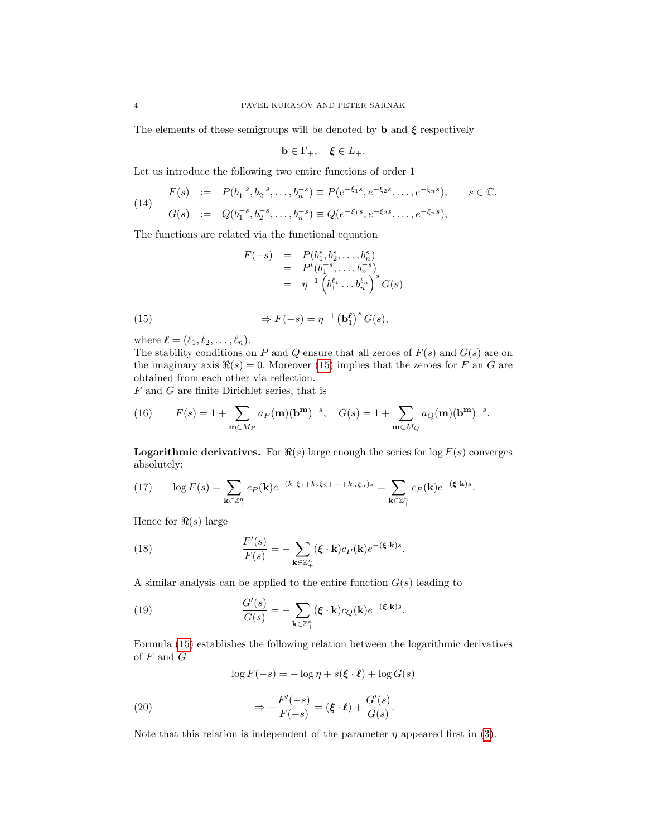The elements of these semigroups will be denoted by **b** and  $\xi$  respectively

$$
\mathbf{b} \in \Gamma_+, \quad \xi \in L_+.
$$

Let us introduce the following two entire functions of order 1

<span id="page-3-4"></span>(14) 
$$
F(s) := P(b_1^{-s}, b_2^{-s}, \dots, b_n^{-s}) \equiv P(e^{-\xi_1 s}, e^{-\xi_2 s}, \dots, e^{-\xi_n s}), \quad s \in \mathbb{C}.
$$

$$
G(s) := Q(b_1^{-s}, b_2^{-s}, \dots, b_n^{-s}) \equiv Q(e^{-\xi_1 s}, e^{-\xi_2 s}, \dots, e^{-\xi_n s}),
$$

The functions are related via the functional equation

<span id="page-3-0"></span>
$$
F(-s) = P(b_1^s, b_2^s, \dots, b_n^s)
$$
  
=  $P^{\iota}(b_1^{-s}, \dots, b_n^{-s})$   
=  $\eta^{-1} \left( b_1^{\ell_1} \dots b_n^{\ell_n} \right)^s G(s)$ 

(15) 
$$
\Rightarrow F(-s) = \eta^{-1} \left(\mathbf{b}_1^{\ell}\right)^s G(s),
$$

where  $\boldsymbol{\ell} = (\ell_1, \ell_2, \ldots, \ell_n).$ 

The stability conditions on P and Q ensure that all zeroes of  $F(s)$  and  $G(s)$  are on the imaginary axis  $\Re(s) = 0$ . Moreover [\(15\)](#page-3-0) implies that the zeroes for F an G are obtained from each other via reflection.

F and G are finite Dirichlet series, that is

(16) 
$$
F(s) = 1 + \sum_{\mathbf{m} \in M_P} a_P(\mathbf{m})(\mathbf{b}^{\mathbf{m}})^{-s}, \quad G(s) = 1 + \sum_{\mathbf{m} \in M_Q} a_Q(\mathbf{m})(\mathbf{b}^{\mathbf{m}})^{-s}.
$$

**Logarithmic derivatives.** For  $\Re(s)$  large enough the series for log  $F(s)$  converges absolutely:

(17) 
$$
\log F(s) = \sum_{\mathbf{k} \in \mathbb{Z}_+^n} c_P(\mathbf{k}) e^{-(k_1 \xi_1 + k_2 \xi_2 + \dots + k_n \xi_n)s} = \sum_{\mathbf{k} \in \mathbb{Z}_+^n} c_P(\mathbf{k}) e^{-(\xi \cdot \mathbf{k})s}.
$$

Hence for  $\Re(s)$  large

<span id="page-3-1"></span>(18) 
$$
\frac{F'(s)}{F(s)} = -\sum_{\mathbf{k}\in\mathbb{Z}_{+}^{n}} (\boldsymbol{\xi}\cdot\mathbf{k}) c_{P}(\mathbf{k}) e^{-(\boldsymbol{\xi}\cdot\mathbf{k})s}.
$$

A similar analysis can be applied to the entire function  $G(s)$  leading to

(19) 
$$
\frac{G'(s)}{G(s)} = -\sum_{\mathbf{k}\in\mathbb{Z}_{+}^{n}} (\boldsymbol{\xi}\cdot\mathbf{k}) c_{Q}(\mathbf{k}) e^{-(\boldsymbol{\xi}\cdot\mathbf{k})s}.
$$

Formula [\(15\)](#page-3-0) establishes the following relation between the logarithmic derivatives of  ${\cal F}$  and  ${\cal G}$ 

<span id="page-3-3"></span><span id="page-3-2"></span>
$$
\log F(-s) = -\log \eta + s(\xi \cdot \ell) + \log G(s)
$$

(20) 
$$
\Rightarrow -\frac{F'(-s)}{F(-s)} = (\xi \cdot \ell) + \frac{G'(s)}{G(s)}.
$$

Note that this relation is independent of the parameter  $\eta$  appeared first in [\(3\)](#page-1-0).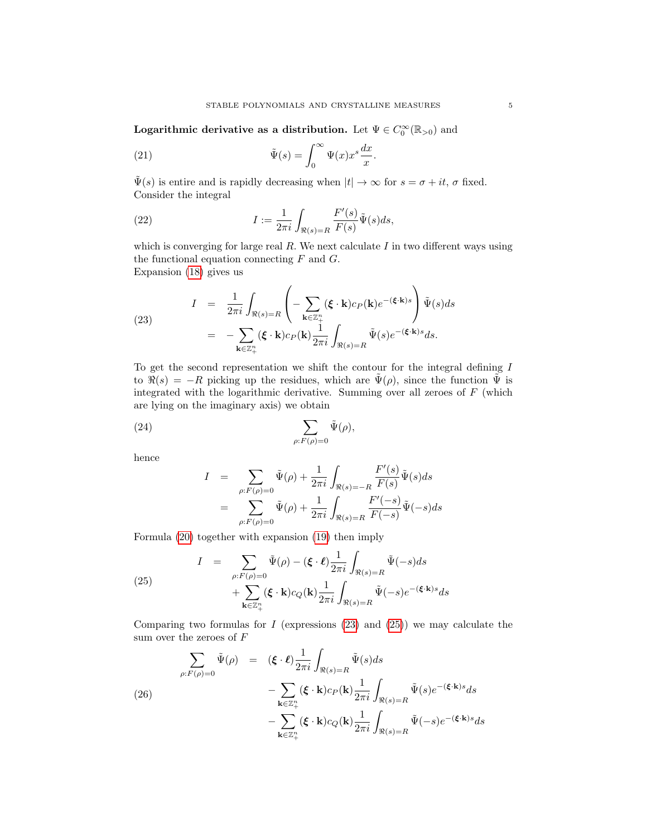Logarithmic derivative as a distribution. Let  $\Psi \in C_0^{\infty}(\mathbb{R}_{>0})$  and

(21) 
$$
\tilde{\Psi}(s) = \int_0^\infty \Psi(x) x^s \frac{dx}{x}.
$$

 $\tilde{\Psi}(s)$  is entire and is rapidly decreasing when  $|t| \to \infty$  for  $s = \sigma + it$ ,  $\sigma$  fixed. Consider the integral

(22) 
$$
I := \frac{1}{2\pi i} \int_{\Re(s) = R} \frac{F'(s)}{F(s)} \tilde{\Psi}(s) ds,
$$

which is converging for large real  $R$ . We next calculate  $I$  in two different ways using the functional equation connecting  $F$  and  $G$ . Expansion [\(18\)](#page-3-1) gives us

<span id="page-4-0"></span>(23) 
$$
I = \frac{1}{2\pi i} \int_{\Re(s)=R} \left( - \sum_{\mathbf{k}\in\mathbb{Z}_{+}^{n}} (\boldsymbol{\xi} \cdot \mathbf{k}) c_{P}(\mathbf{k}) e^{-(\boldsymbol{\xi} \cdot \mathbf{k})s} \right) \tilde{\Psi}(s) ds
$$

$$
= - \sum_{\mathbf{k}\in\mathbb{Z}_{+}^{n}} (\boldsymbol{\xi} \cdot \mathbf{k}) c_{P}(\mathbf{k}) \frac{1}{2\pi i} \int_{\Re(s)=R} \tilde{\Psi}(s) e^{-(\boldsymbol{\xi} \cdot \mathbf{k})s} ds.
$$

To get the second representation we shift the contour for the integral defining I to  $\Re(s) = -R$  picking up the residues, which are  $\tilde{\Psi}(\rho)$ , since the function  $\tilde{\Psi}$  is integrated with the logarithmic derivative. Summing over all zeroes of  $F$  (which are lying on the imaginary axis) we obtain

(24) 
$$
\sum_{\rho: F(\rho)=0} \tilde{\Psi}(\rho),
$$

hence

$$
I = \sum_{\rho: F(\rho)=0} \tilde{\Psi}(\rho) + \frac{1}{2\pi i} \int_{\Re(s)=-R} \frac{F'(s)}{F(s)} \tilde{\Psi}(s) ds
$$
  

$$
= \sum_{\rho: F(\rho)=0} \tilde{\Psi}(\rho) + \frac{1}{2\pi i} \int_{\Re(s)=R} \frac{F'(s)}{F(-s)} \tilde{\Psi}(-s) ds
$$

Formula [\(20\)](#page-3-2) together with expansion [\(19\)](#page-3-3) then imply

<span id="page-4-1"></span>(25) 
$$
I = \sum_{\rho: F(\rho)=0} \tilde{\Psi}(\rho) - (\boldsymbol{\xi} \cdot \boldsymbol{\ell}) \frac{1}{2\pi i} \int_{\Re(s)=R} \tilde{\Psi}(-s) ds + \sum_{\mathbf{k} \in \mathbb{Z}_{+}^{n}} (\boldsymbol{\xi} \cdot \mathbf{k}) c_{Q}(\mathbf{k}) \frac{1}{2\pi i} \int_{\Re(s)=R} \tilde{\Psi}(-s) e^{-(\boldsymbol{\xi} \cdot \mathbf{k})s} ds
$$

Comparing two formulas for  $I$  (expressions [\(23\)](#page-4-0) and [\(25\)](#page-4-1)) we may calculate the sum over the zeroes of  $F$ 

<span id="page-4-2"></span>(26)  
\n
$$
\sum_{\rho: F(\rho)=0} \tilde{\Psi}(\rho) = (\boldsymbol{\xi} \cdot \boldsymbol{\ell}) \frac{1}{2\pi i} \int_{\Re(s)=R} \tilde{\Psi}(s) ds
$$
\n
$$
- \sum_{\mathbf{k} \in \mathbb{Z}_{+}^{n}} (\boldsymbol{\xi} \cdot \mathbf{k}) c_{P}(\mathbf{k}) \frac{1}{2\pi i} \int_{\Re(s)=R} \tilde{\Psi}(s) e^{-(\boldsymbol{\xi} \cdot \mathbf{k})s} ds
$$
\n
$$
- \sum_{\mathbf{k} \in \mathbb{Z}_{+}^{n}} (\boldsymbol{\xi} \cdot \mathbf{k}) c_{Q}(\mathbf{k}) \frac{1}{2\pi i} \int_{\Re(s)=R} \tilde{\Psi}(-s) e^{-(\boldsymbol{\xi} \cdot \mathbf{k})s} ds
$$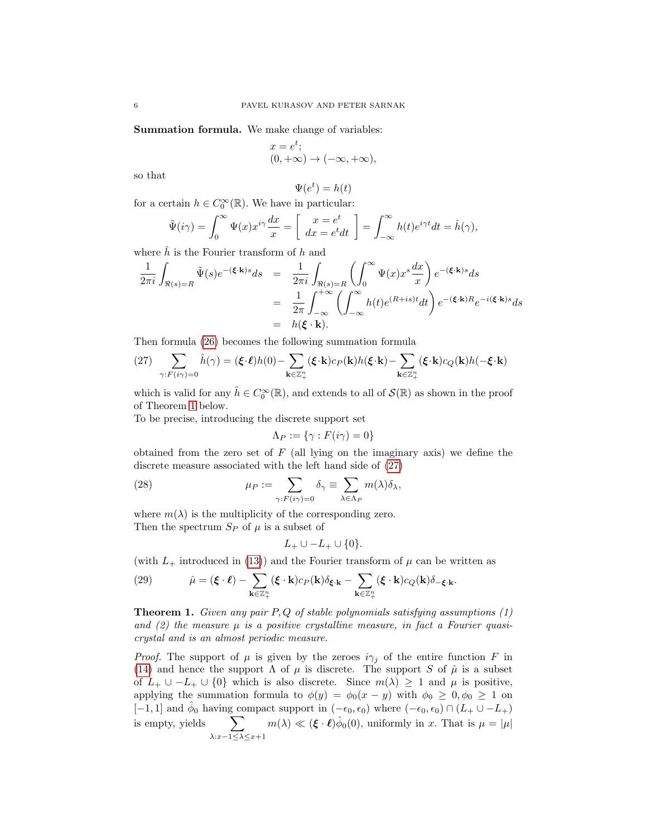Summation formula. We make change of variables:

$$
x = e^t; (0, +\infty) \to (-\infty, +\infty),
$$

so that

$$
\Psi(e^t) = h(t)
$$

for a certain  $h \in C_0^{\infty}(\mathbb{R})$ . We have in particular:

$$
\tilde{\Psi}(i\gamma) = \int_0^\infty \Psi(x) x^{i\gamma} \frac{dx}{x} = \left[ \begin{array}{c} x = e^t \\ dx = e^t dt \end{array} \right] = \int_{-\infty}^\infty h(t) e^{i\gamma t} dt = \hat{h}(\gamma),
$$

where  $h$  is the Fourier transform of h and

$$
\begin{array}{rcl} \displaystyle \frac{1}{2\pi i}\int_{\Re(s)=R}\tilde{\Psi}(s)e^{-(\pmb{\xi}\cdot\mathbf{k})s}ds&=&\displaystyle \frac{1}{2\pi i}\int_{\Re(s)=R}\left(\int_0^\infty\Psi(x)x^s\frac{dx}{x}\right)e^{-(\pmb{\xi}\cdot\mathbf{k})s}ds\\ &=&\displaystyle \frac{1}{2\pi}\int_{-\infty}^{+\infty}\left(\int_{-\infty}^\infty h(t)e^{(R+is)t}dt\right)e^{-(\pmb{\xi}\cdot\mathbf{k})R}e^{-i(\pmb{\xi}\cdot\mathbf{k})s}ds\\ &=&h(\pmb{\xi}\cdot\mathbf{k}). \end{array}
$$

Then formula [\(26\)](#page-4-2) becomes the following summation formula

<span id="page-5-1"></span>(27) 
$$
\sum_{\gamma: F(i\gamma)=0} \hat{h}(\gamma) = (\boldsymbol{\xi} \cdot \boldsymbol{\ell})h(0) - \sum_{\mathbf{k} \in \mathbb{Z}_{+}^{n}} (\boldsymbol{\xi} \cdot \mathbf{k})c_{P}(\mathbf{k})h(\boldsymbol{\xi} \cdot \mathbf{k}) - \sum_{\mathbf{k} \in \mathbb{Z}_{+}^{n}} (\boldsymbol{\xi} \cdot \mathbf{k})c_{Q}(\mathbf{k})h(-\boldsymbol{\xi} \cdot \mathbf{k})
$$

which is valid for any  $\hat{h} \in C_0^{\infty}(\mathbb{R})$ , and extends to all of  $\mathcal{S}(\mathbb{R})$  as shown in the proof of Theorem [1](#page-5-0) below.

To be precise, introducing the discrete support set

$$
\Lambda_P := \{ \gamma : F(i\gamma) = 0 \}
$$

obtained from the zero set of  $F$  (all lying on the imaginary axis) we define the discrete measure associated with the left hand side of [\(27\)](#page-5-1)

(28) 
$$
\mu_P := \sum_{\gamma: F(i\gamma) = 0} \delta_\gamma \equiv \sum_{\lambda \in \Lambda_P} m(\lambda) \delta_\lambda,
$$

where  $m(\lambda)$  is the multiplicity of the corresponding zero. Then the spectrum  $S_P$  of  $\mu$  is a subset of

$$
L_+\cup -L_+\cup\{0\}.
$$

(with  $L_+$  introduced in [\(13\)](#page-2-0)) and the Fourier transform of  $\mu$  can be written as

<span id="page-5-2"></span>(29) 
$$
\hat{\mu} = (\boldsymbol{\xi} \cdot \boldsymbol{\ell}) - \sum_{\mathbf{k} \in \mathbb{Z}_+^n} (\boldsymbol{\xi} \cdot \mathbf{k}) c_P(\mathbf{k}) \delta_{\boldsymbol{\xi} \cdot \mathbf{k}} - \sum_{\mathbf{k} \in \mathbb{Z}_+^n} (\boldsymbol{\xi} \cdot \mathbf{k}) c_Q(\mathbf{k}) \delta_{-\boldsymbol{\xi} \cdot \mathbf{k}}.
$$

<span id="page-5-0"></span>**Theorem 1.** Given any pair  $P, Q$  of stable polynomials satisfying assumptions  $(1)$ and  $(2)$  the measure  $\mu$  is a positive crystalline measure, in fact a Fourier quasicrystal and is an almost periodic measure.

*Proof.* The support of  $\mu$  is given by the zeroes  $i\gamma_j$  of the entire function F in [\(14\)](#page-3-4) and hence the support  $\Lambda$  of  $\mu$  is discrete. The support S of  $\hat{\mu}$  is a subset of  $L_+ \cup -L_+ \cup \{0\}$  which is also discrete. Since  $m(\lambda) \geq 1$  and  $\mu$  is positive, applying the summation formula to  $\phi(y) = \phi_0(x - y)$  with  $\phi_0 \geq 0, \phi_0 \geq 1$  on [-1,1] and  $\hat{\phi}_0$  having compact support in  $(-\epsilon_0, \epsilon_0)$  where  $(-\epsilon_0, \epsilon_0) \cap (L_+ \cup -L_+)$ is empty, yields  $\sum$  $\lambda: x-1 \leq \lambda \leq x+1$  $m(\lambda) \ll (\boldsymbol{\xi} \cdot \boldsymbol{\ell}) \hat{\phi}_0(0)$ , uniformly in x. That is  $\mu = |\mu|$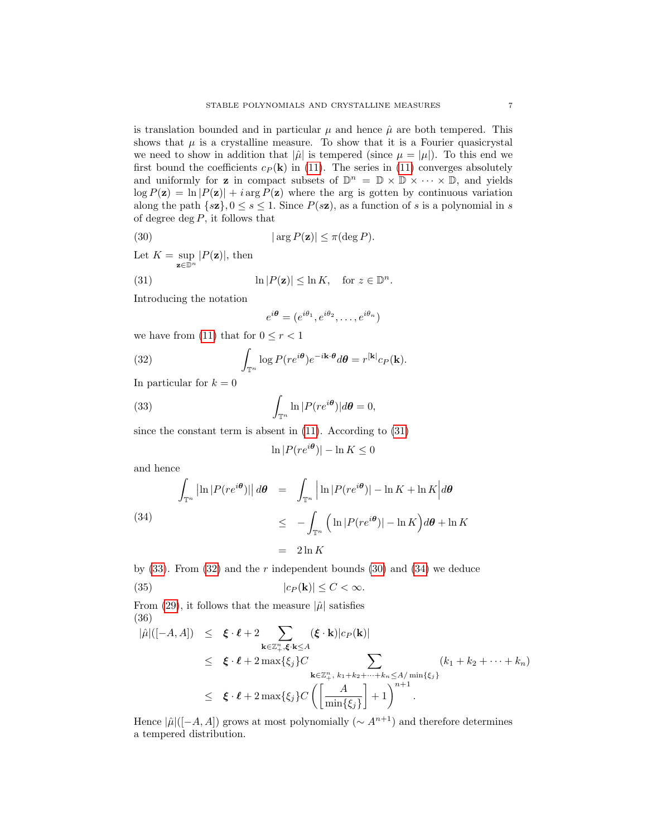is translation bounded and in particular  $\mu$  and hence  $\hat{\mu}$  are both tempered. This shows that  $\mu$  is a crystalline measure. To show that it is a Fourier quasicrystal we need to show in addition that  $|\hat{\mu}|$  is tempered (since  $\mu = |\mu|$ ). To this end we first bound the coefficients  $c_P(\mathbf{k})$  in [\(11\)](#page-2-1). The series in (11) converges absolutely and uniformly for **z** in compact subsets of  $\mathbb{D}^n = \mathbb{D} \times \mathbb{D} \times \cdots \times \mathbb{D}$ , and yields  $\log P(\mathbf{z}) = \ln |P(\mathbf{z})| + i \arg P(\mathbf{z})$  where the arg is gotten by continuous variation along the path  $\{s\mathbf{z}\}, 0 \leq s \leq 1$ . Since  $P(s\mathbf{z})$ , as a function of s is a polynomial in s of degree deg  $P$ , it follows that

(30) 
$$
|\arg P(\mathbf{z})| \leq \pi(\deg P).
$$

Let  $K = \sup_{\mathbf{z} \in \mathbb{D}^n} |P(\mathbf{z})|$ , then

(31) 
$$
\ln |P(\mathbf{z})| \leq \ln K, \text{ for } z \in \mathbb{D}^n.
$$

Introducing the notation

<span id="page-6-3"></span><span id="page-6-2"></span><span id="page-6-0"></span>
$$
e^{i\theta} = (e^{i\theta_1}, e^{i\theta_2}, \dots, e^{i\theta_n})
$$

we have from [\(11\)](#page-2-1) that for  $0 \le r < 1$ 

(32) 
$$
\int_{\mathbb{T}^n} \log P(re^{i\theta})e^{-i\mathbf{k}\cdot\theta}d\theta = r^{[\mathbf{k}]}c_P(\mathbf{k}).
$$

In particular for  $k = 0$ 

(33) 
$$
\int_{\mathbb{T}^n} \ln |P(re^{i\theta})| d\theta = 0,
$$

since the constant term is absent in [\(11\)](#page-2-1). According to [\(31\)](#page-6-0)

<span id="page-6-1"></span>
$$
\ln|P(re^{i\theta})| - \ln K \le 0
$$

and hence

<span id="page-6-4"></span>(34)  
\n
$$
\int_{\mathbb{T}^n} \left| \ln |P(re^{i\theta})| \right| d\theta = \int_{\mathbb{T}^n} \left| \ln |P(re^{i\theta})| - \ln K + \ln K \right| d\theta
$$
\n
$$
\leq - \int_{\mathbb{T}^n} \left( \ln |P(re^{i\theta})| - \ln K \right) d\theta + \ln K
$$
\n
$$
= 2\ln K
$$

by  $(33)$ . From  $(32)$  and the r independent bounds  $(30)$  and  $(34)$  we deduce

(35) 
$$
|c_P(\mathbf{k})| \leq C < \infty.
$$

From [\(29\)](#page-5-2), it follows that the measure  $|\hat{\mu}|$  satisfies (36)

$$
\begin{array}{rcl}\n|\hat{\mu}|([-A, A]) & \leq & \xi \cdot \ell + 2 \sum_{\mathbf{k} \in \mathbb{Z}_+^n, \xi \cdot \mathbf{k} \leq A} (\xi \cdot \mathbf{k}) |c_P(\mathbf{k})| \\
& \leq & \xi \cdot \ell + 2 \max\{\xi_j\} C \\
& \leq & \xi \cdot \ell + 2 \max\{\xi_j\} C \sum_{\mathbf{k} \in \mathbb{Z}_+^n, k_1 + k_2 + \dots + k_n \leq A/\min\{\xi_j\}} (k_1 + k_2 + \dots + k_n) \\
& \leq & \xi \cdot \ell + 2 \max\{\xi_j\} C \left( \left[ \frac{A}{\min\{\xi_j\}} \right] + 1 \right)^{n+1}.\n\end{array}
$$

Hence  $|\hat{\mu}|([-A, A])$  grows at most polynomially  $({\sim A^{n+1}})$  and therefore determines a tempered distribution.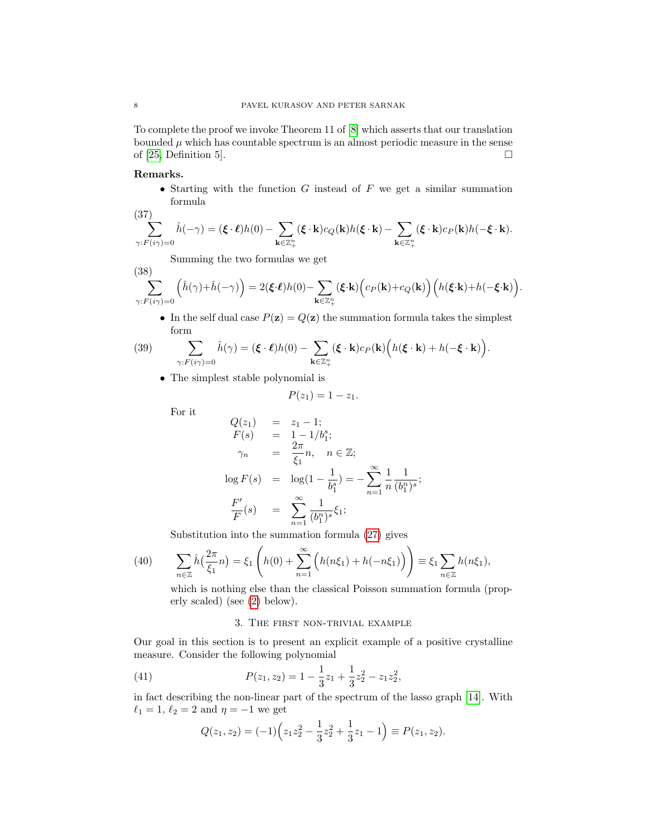To complete the proof we invoke Theorem 11 of [\[8\]](#page-13-15) which asserts that our translation bounded  $\mu$  which has countable spectrum is an almost periodic measure in the sense of [\[25,](#page-14-0) Definition 5].  $\Box$ 

# Remarks.

• Starting with the function  $G$  instead of  $F$  we get a similar summation formula

(37)  

$$
\sum_{\gamma: F(i\gamma)=0} \hat{h}(-\gamma) = (\xi \cdot \ell)h(0) - \sum_{\mathbf{k} \in \mathbb{Z}_{+}^{n}} (\xi \cdot \mathbf{k})c_{Q}(\mathbf{k})h(\xi \cdot \mathbf{k}) - \sum_{\mathbf{k} \in \mathbb{Z}_{+}^{n}} (\xi \cdot \mathbf{k})c_{P}(\mathbf{k})h(-\xi \cdot \mathbf{k}).
$$

Summing the two formulas we get

(38)  

$$
\sum_{\gamma: F(i\gamma)=0} \left(\hat{h}(\gamma) + \hat{h}(-\gamma)\right) = 2(\boldsymbol{\xi} \cdot \boldsymbol{\ell})h(0) - \sum_{\mathbf{k} \in \mathbb{Z}_+^n} (\boldsymbol{\xi} \cdot \mathbf{k})\Big(c_P(\mathbf{k}) + c_Q(\mathbf{k})\Big)\Big(h(\boldsymbol{\xi} \cdot \mathbf{k}) + h(-\boldsymbol{\xi} \cdot \mathbf{k})\Big).
$$

• In the self dual case  $P(\mathbf{z}) = Q(\mathbf{z})$  the summation formula takes the simplest form

(39) 
$$
\sum_{\gamma: F(i\gamma)=0} \hat{h}(\gamma) = (\boldsymbol{\xi} \cdot \boldsymbol{\ell})h(0) - \sum_{\mathbf{k} \in \mathbb{Z}_+^n} (\boldsymbol{\xi} \cdot \mathbf{k})c_P(\mathbf{k}) \Big(h(\boldsymbol{\xi} \cdot \mathbf{k}) + h(-\boldsymbol{\xi} \cdot \mathbf{k})\Big).
$$

• The simplest stable polynomial is

$$
P(z_1)=1-z_1.
$$

For it

$$
Q(z_1) = z_1 - 1;
$$
  
\n
$$
F(s) = 1 - 1/b_1^s;
$$
  
\n
$$
\gamma_n = \frac{2\pi}{\xi_1} n, \quad n \in \mathbb{Z};
$$
  
\n
$$
\log F(s) = \log(1 - \frac{1}{b_1^s}) = -\sum_{n=1}^{\infty} \frac{1}{n} \frac{1}{(b_1^n)^s};
$$
  
\n
$$
\frac{F'}{F}(s) = \sum_{n=1}^{\infty} \frac{1}{(b_1^n)^s} \xi_1;
$$

Substitution into the summation formula [\(27\)](#page-5-1) gives

(40) 
$$
\sum_{n\in\mathbb{Z}} \hat{h}\left(\frac{2\pi}{\xi_1}n\right) = \xi_1\left(h(0) + \sum_{n=1}^{\infty} \left(h(n\xi_1) + h(-n\xi_1)\right)\right) \equiv \xi_1 \sum_{n\in\mathbb{Z}} h(n\xi_1),
$$

which is nothing else than the classical Poisson summation formula (properly scaled) (see [\(2\)](#page-0-0) below).

# <span id="page-7-0"></span>3. The first non-trivial example

Our goal in this section is to present an explicit example of a positive crystalline measure. Consider the following polynomial

(41) 
$$
P(z_1, z_2) = 1 - \frac{1}{3}z_1 + \frac{1}{3}z_2^2 - z_1z_2^2,
$$

in fact describing the non-linear part of the spectrum of the lasso graph [\[14\]](#page-13-0). With  $\ell_1 = 1, \ell_2 = 2$  and  $\eta = -1$  we get

$$
Q(z_1, z_2) = (-1)\left(z_1 z_2^2 - \frac{1}{3} z_2^2 + \frac{1}{3} z_1 - 1\right) \equiv P(z_1, z_2).
$$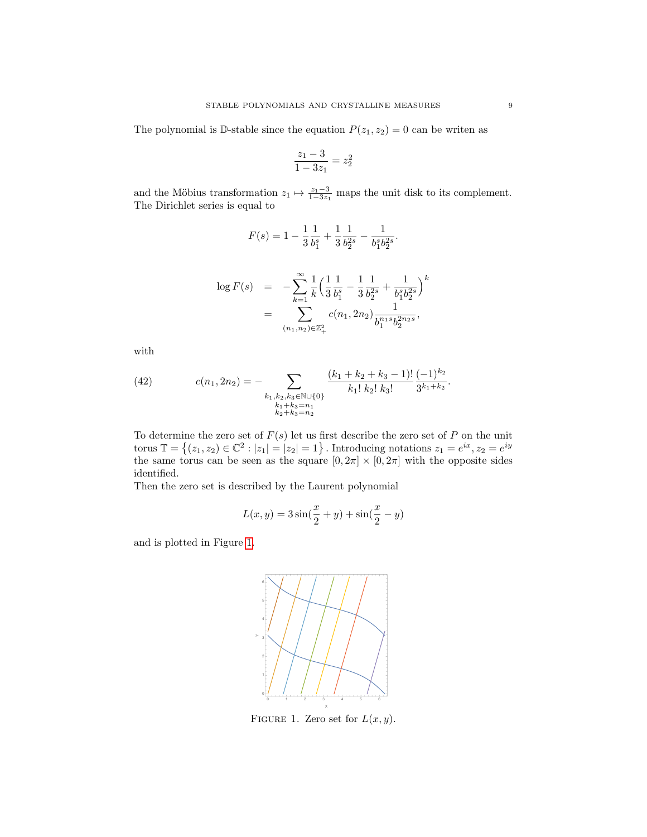The polynomial is D-stable since the equation  $P(z_1, z_2) = 0$  can be writen as

$$
\frac{z_1 - 3}{1 - 3z_1} = z_2^2
$$

and the Möbius transformation  $z_1 \mapsto \frac{z_1 - 3}{1 - 3z_1}$  maps the unit disk to its complement. The Dirichlet series is equal to

$$
F(s) = 1 - \frac{1}{3} \frac{1}{b_1^s} + \frac{1}{3} \frac{1}{b_2^{2s}} - \frac{1}{b_1^s b_2^{2s}}.
$$

$$
\log F(s) = -\sum_{k=1}^{\infty} \frac{1}{k} \left( \frac{1}{3} \frac{1}{b_1^s} - \frac{1}{3} \frac{1}{b_2^{2s}} + \frac{1}{b_1^s b_2^{2s}} \right)^k
$$
  
= 
$$
\sum_{(n_1, n_2) \in \mathbb{Z}_+^2} c(n_1, 2n_2) \frac{1}{b_1^{n_1 s} b_2^{2n_2 s}},
$$

with

(42) 
$$
c(n_1, 2n_2) = - \sum_{\substack{k_1, k_2, k_3 \in \mathbb{N} \cup \{0\} \\ k_1 + k_3 = n_1 \\ k_2 + k_3 = n_2}} \frac{(k_1 + k_2 + k_3 - 1)!}{k_1! k_2! k_3!} \frac{(-1)^{k_2}}{3^{k_1 + k_2}}.
$$

To determine the zero set of  $F(s)$  let us first describe the zero set of P on the unit torus  $\mathbb{T} = \{(z_1, z_2) \in \mathbb{C}^2 : |z_1| = |z_2| = 1\}$ . Introducing notations  $z_1 = e^{ix}, z_2 = e^{iy}$ the same torus can be seen as the square  $[0, 2\pi] \times [0, 2\pi]$  with the opposite sides identified.

Then the zero set is described by the Laurent polynomial

$$
L(x, y) = 3\sin(\frac{x}{2} + y) + \sin(\frac{x}{2} - y)
$$

and is plotted in Figure [1.](#page-8-0)



<span id="page-8-0"></span>FIGURE 1. Zero set for  $L(x, y)$ .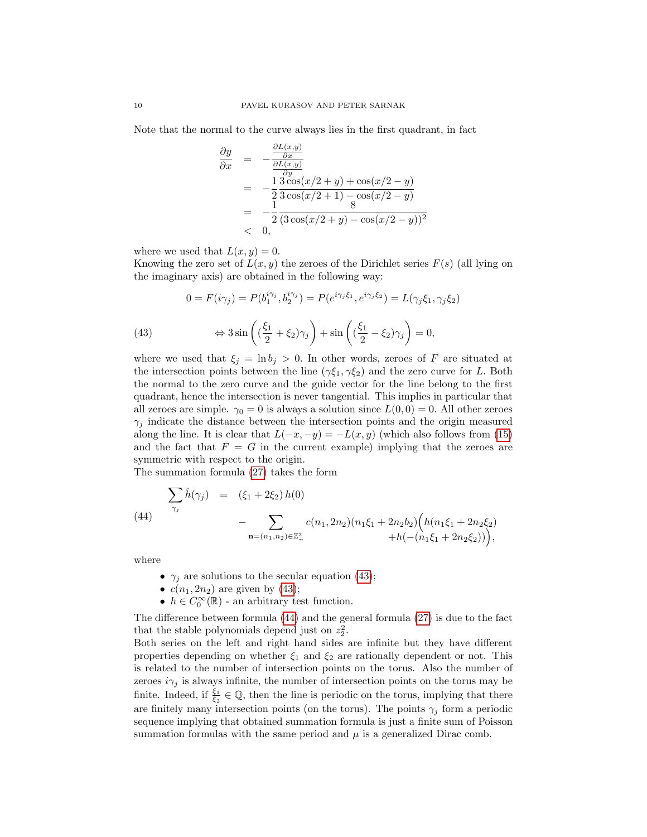Note that the normal to the curve always lies in the first quadrant, in fact

$$
\frac{\partial y}{\partial x} = -\frac{\frac{\partial L(x,y)}{\partial x}}{\frac{\partial y}{\partial y}}\n= -\frac{1}{2} \frac{3 \cos(x/2 + y) + \cos(x/2 - y)}{3 \cos(x/2 + 1) - \cos(x/2 - y)}\n= -\frac{1}{2} \frac{3 \cos(x/2 + y) - \cos(x/2 - y)}{(3 \cos(x/2 + y) - \cos(x/2 - y))^2}\n< 0,
$$

where we used that  $L(x, y) = 0$ .

Knowing the zero set of  $L(x, y)$  the zeroes of the Dirichlet series  $F(s)$  (all lying on the imaginary axis) are obtained in the following way:

<span id="page-9-0"></span>(43) 
$$
0 = F(i\gamma_j) = P(b_1^{i\gamma_j}, b_2^{i\gamma_j}) = P(e^{i\gamma_j\xi_1}, e^{i\gamma_j\xi_2}) = L(\gamma_j\xi_1, \gamma_j\xi_2)
$$

$$
\Leftrightarrow 3\sin\left((\frac{\xi_1}{2} + \xi_2)\gamma_j\right) + \sin\left((\frac{\xi_1}{2} - \xi_2)\gamma_j\right) = 0,
$$

where we used that  $\xi_j = \ln b_j > 0$ . In other words, zeroes of F are situated at the intersection points between the line  $(\gamma \xi_1, \gamma \xi_2)$  and the zero curve for L. Both the normal to the zero curve and the guide vector for the line belong to the first quadrant, hence the intersection is never tangential. This implies in particular that all zeroes are simple.  $\gamma_0 = 0$  is always a solution since  $L(0,0) = 0$ . All other zeroes  $\gamma_j$  indicate the distance between the intersection points and the origin measured along the line. It is clear that  $L(-x, -y) = -L(x, y)$  (which also follows from [\(15\)](#page-3-0) and the fact that  $F = G$  in the current example) implying that the zeroes are symmetric with respect to the origin.

The summation formula [\(27\)](#page-5-1) takes the form

<span id="page-9-1"></span>
$$
\sum_{\gamma_j} \hat{h}(\gamma_j) = (\xi_1 + 2\xi_2) h(0)
$$
\n
$$
- \sum_{\mathbf{n} = (n_1, n_2) \in \mathbb{Z}_+^2} c(n_1, 2n_2) (n_1\xi_1 + 2n_2b_2) \left( h(n_1\xi_1 + 2n_2\xi_2) + h(-(n_1\xi_1 + 2n_2\xi_2)) \right),
$$

where

- $\gamma_i$  are solutions to the secular equation [\(43\)](#page-9-0);
- $c(n_1, 2n_2)$  are given by [\(43\)](#page-9-0);
- $h \in C_0^{\infty}(\mathbb{R})$  an arbitrary test function.

The difference between formula [\(44\)](#page-9-1) and the general formula [\(27\)](#page-5-1) is due to the fact that the stable polynomials depend just on  $z_2^2$ .

Both series on the left and right hand sides are infinite but they have different properties depending on whether  $\xi_1$  and  $\xi_2$  are rationally dependent or not. This is related to the number of intersection points on the torus. Also the number of zeroes  $i\gamma_i$  is always infinite, the number of intersection points on the torus may be finite. Indeed, if  $\frac{\xi_1}{\xi_2} \in \mathbb{Q}$ , then the line is periodic on the torus, implying that there are finitely many intersection points (on the torus). The points  $\gamma_j$  form a periodic sequence implying that obtained summation formula is just a finite sum of Poisson summation formulas with the same period and  $\mu$  is a generalized Dirac comb.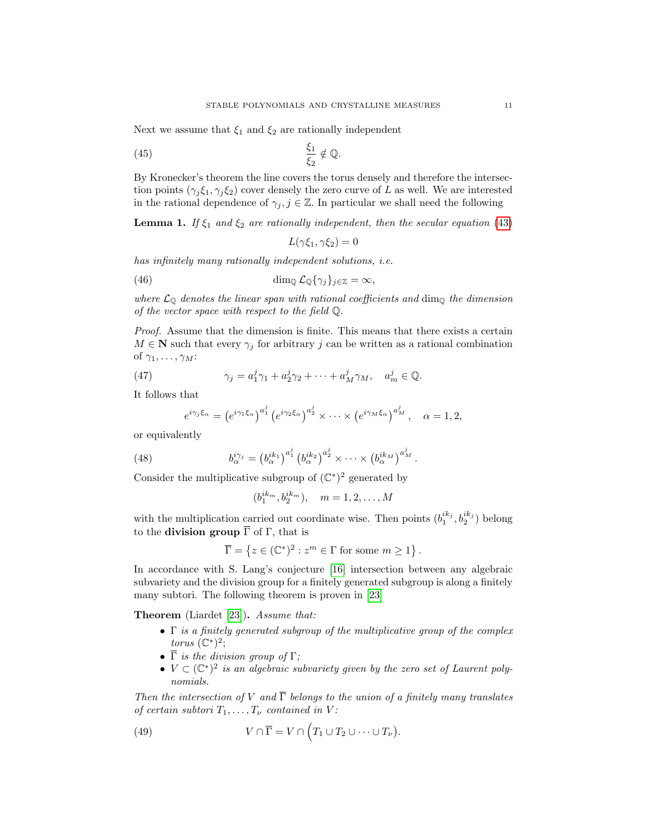Next we assume that  $\xi_1$  and  $\xi_2$  are rationally independent

$$
\frac{\xi_1}{\xi_2} \notin \mathbb{Q}.
$$

By Kronecker's theorem the line covers the torus densely and therefore the intersection points  $(\gamma_i \xi_1, \gamma_i \xi_2)$  cover densely the zero curve of L as well. We are interested in the rational dependence of  $\gamma_j, j \in \mathbb{Z}$ . In particular we shall need the following

<span id="page-10-2"></span>**Lemma 1.** If  $\xi_1$  and  $\xi_2$  are rationally independent, then the secular equation [\(43\)](#page-9-0)

$$
L(\gamma \xi_1, \gamma \xi_2) = 0
$$

has infinitely many rationally independent solutions, i.e.

(46) 
$$
\dim_{\mathbb{Q}} \mathcal{L}_{\mathbb{Q}}\{\gamma_j\}_{j\in\mathbb{Z}} = \infty,
$$

where  $\mathcal{L}_{\mathbb{Q}}$  denotes the linear span with rational coefficients and dim<sub> $\mathbb{Q}$ </sub> the dimension of the vector space with respect to the field Q.

Proof. Assume that the dimension is finite. This means that there exists a certain  $M \in \mathbb{N}$  such that every  $\gamma_j$  for arbitrary j can be written as a rational combination of  $\gamma_1, \ldots, \gamma_M$ :

(47) 
$$
\gamma_j = a_1^j \gamma_1 + a_2^j \gamma_2 + \dots + a_M^j \gamma_M, \quad a_m^j \in \mathbb{Q}.
$$

It follows that

$$
e^{i\gamma_j \xi_\alpha} = \left(e^{i\gamma_1 \xi_\alpha}\right)^{a_1^j} \left(e^{i\gamma_2 \xi_\alpha}\right)^{a_2^j} \times \cdots \times \left(e^{i\gamma_M \xi_\alpha}\right)^{a_M^j}, \quad \alpha = 1, 2,
$$

or equivalently

(48) 
$$
b_{\alpha}^{i\gamma_j} = (b_{\alpha}^{ik_1})^{a_1^j} (b_{\alpha}^{ik_2})^{a_2^j} \times \cdots \times (b_{\alpha}^{ik_M})^{a_M^j}.
$$

Consider the multiplicative subgroup of  $(\mathbb{C}^*)^2$  generated by

<span id="page-10-0"></span>
$$
(b_1^{ik_m}, b_2^{ik_m}), \quad m = 1, 2, ..., M
$$

with the multiplication carried out coordinate wise. Then points  $(b_1^{ik_j}, b_2^{ik_j})$  belong to the **division group**  $\overline{\Gamma}$  of  $\Gamma$ , that is

$$
\overline{\Gamma} = \left\{ z \in (\mathbb{C}^*)^2 : z^m \in \Gamma \text{ for some } m \ge 1 \right\}.
$$

In accordance with S. Lang's conjecture [\[16\]](#page-13-7) intersection between any algebraic subvariety and the division group for a finitely generated subgroup is along a finitely many subtori. The following theorem is proven in [\[23\]](#page-14-4)

Theorem (Liardet [\[23\]](#page-14-4)). Assume that:

- $\Gamma$  is a finitely generated subgroup of the multiplicative group of the complex torus  $(\mathbb{C}^*)^2$ ;
- $\overline{\Gamma}$  is the division group of  $\Gamma$ ;
- <span id="page-10-1"></span>•  $V \subset (\mathbb{C}^*)^2$  is an algebraic subvariety given by the zero set of Laurent polynomials.

Then the intersection of V and  $\overline{\Gamma}$  belongs to the union of a finitely many translates of certain subtori  $T_1, \ldots, T_{\nu}$  contained in V:

(49) 
$$
V \cap \overline{\Gamma} = V \cap \left( T_1 \cup T_2 \cup \cdots \cup T_{\nu} \right).
$$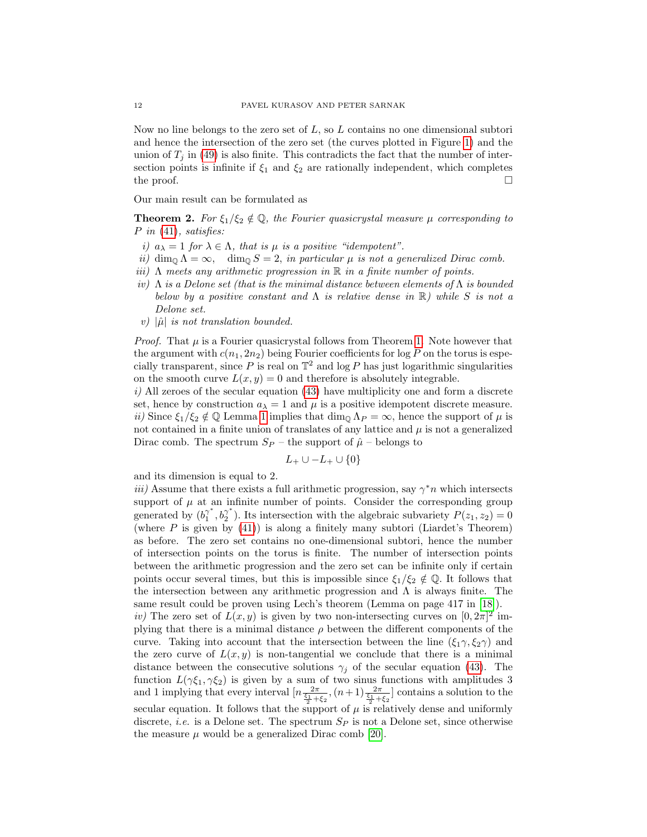Now no line belongs to the zero set of  $L$ , so  $L$  contains no one dimensional subtori and hence the intersection of the zero set (the curves plotted in Figure [1\)](#page-8-0) and the union of  $T_j$  in [\(49\)](#page-10-1) is also finite. This contradicts the fact that the number of intersection points is infinite if  $\xi_1$  and  $\xi_2$  are rationally independent, which completes the proof.  $\Box$ 

Our main result can be formulated as

<span id="page-11-0"></span>**Theorem 2.** For  $\xi_1/\xi_2 \notin \mathbb{Q}$ , the Fourier quasicrystal measure  $\mu$  corresponding to  $P$  in [\(41\)](#page-7-0), satisfies:

- i)  $a_{\lambda} = 1$  for  $\lambda \in \Lambda$ , that is  $\mu$  is a positive "idempotent".
- ii) dim<sub>Q</sub>  $\Lambda = \infty$ , dim<sub>Q</sub>  $S = 2$ , in particular  $\mu$  is not a generalized Dirac comb.
- iii)  $\Lambda$  meets any arithmetic progression in  $\mathbb R$  in a finite number of points.
- iv)  $\Lambda$  is a Delone set (that is the minimal distance between elements of  $\Lambda$  is bounded below by a positive constant and  $\Lambda$  is relative dense in  $\mathbb R$ ) while S is not a Delone set.
- v)  $|\hat{\mu}|$  is not translation bounded.

*Proof.* That  $\mu$  is a Fourier quasicrystal follows from Theorem [1.](#page-5-0) Note however that the argument with  $c(n_1, 2n_2)$  being Fourier coefficients for log P on the torus is especially transparent, since P is real on  $\mathbb{T}^2$  and log P has just logarithmic singularities on the smooth curve  $L(x, y) = 0$  and therefore is absolutely integrable.

 $i)$  All zeroes of the secular equation [\(43\)](#page-9-0) have multiplicity one and form a discrete set, hence by construction  $a_{\lambda} = 1$  and  $\mu$  is a positive idempotent discrete measure. ii) Since  $\xi_1/\xi_2 \notin \mathbb{Q}$  Lemma [1](#page-10-2) implies that  $\dim_{\mathbb{Q}} \Lambda_P = \infty$ , hence the support of  $\mu$  is not contained in a finite union of translates of any lattice and  $\mu$  is not a generalized Dirac comb. The spectrum  $S_P$  – the support of  $\hat{\mu}$  – belongs to

$$
L_+ \cup -L_+ \cup \{0\}
$$

and its dimension is equal to 2.

iii) Assume that there exists a full arithmetic progression, say  $\gamma^* n$  which intersects support of  $\mu$  at an infinite number of points. Consider the corresponding group generated by  $(b_1^{\gamma^*})$  $\begin{smallmatrix} \gamma^* \ 1 \end{smallmatrix}$ ,  $b_2^{\gamma^*}$  $_2^{\gamma}$ ). Its intersection with the algebraic subvariety  $P(z_1, z_2) = 0$ (where  $P$  is given by  $(41)$ ) is along a finitely many subtori (Liardet's Theorem) as before. The zero set contains no one-dimensional subtori, hence the number of intersection points on the torus is finite. The number of intersection points between the arithmetic progression and the zero set can be infinite only if certain points occur several times, but this is impossible since  $\xi_1/\xi_2 \notin \mathbb{Q}$ . It follows that the intersection between any arithmetic progression and  $\Lambda$  is always finite. The same result could be proven using Lech's theorem (Lemma on page 417 in [\[18\]](#page-13-16)). iv) The zero set of  $L(x, y)$  is given by two non-intersecting curves on  $[0, 2\pi]^2$  im-

plying that there is a minimal distance  $\rho$  between the different components of the curve. Taking into account that the intersection between the line  $(\xi_1 \gamma, \xi_2 \gamma)$  and the zero curve of  $L(x, y)$  is non-tangential we conclude that there is a minimal distance between the consecutive solutions  $\gamma_i$  of the secular equation [\(43\)](#page-9-0). The function  $L(\gamma \xi_1, \gamma \xi_2)$  is given by a sum of two sinus functions with amplitudes 3 and 1 implying that every interval  $\left[n\frac{2\pi}{\frac{\xi_1}{2}+\xi_2},(n+1)\frac{2\pi}{\frac{\xi_1}{2}+\xi_2}\right]$  contains a solution to the secular equation. It follows that the support of  $\mu$  is relatively dense and uniformly discrete, *i.e.* is a Delone set. The spectrum  $S_p$  is not a Delone set, since otherwise the measure  $\mu$  would be a generalized Dirac comb [\[20\]](#page-13-3).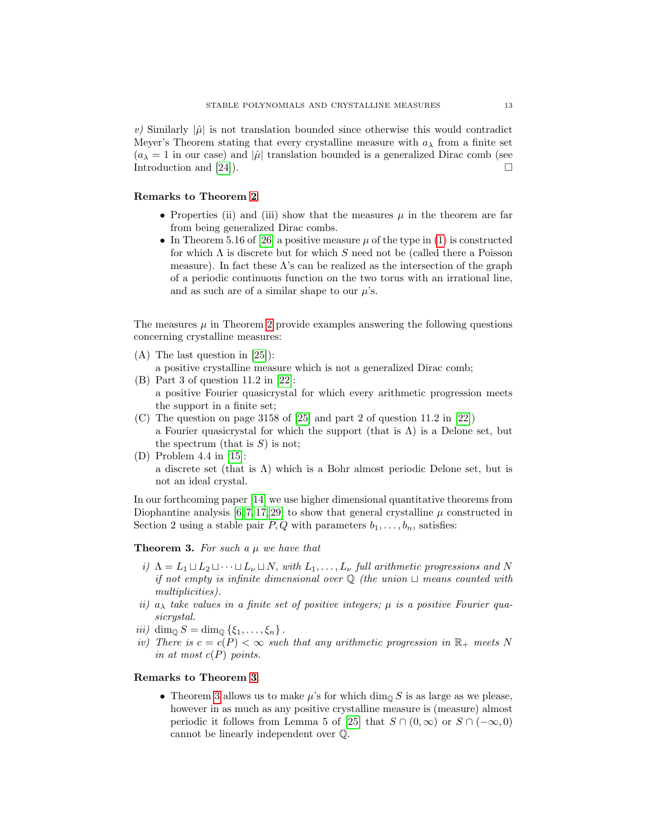v) Similarly  $|\hat{\mu}|$  is not translation bounded since otherwise this would contradict Meyer's Theorem stating that every crystalline measure with  $a_{\lambda}$  from a finite set  $(a_{\lambda} = 1$  in our case) and  $|\hat{\mu}|$  translation bounded is a generalized Dirac comb (see Introduction and [\[24\]](#page-14-2)).

# Remarks to Theorem [2](#page-11-0):

- Properties (ii) and (iii) show that the measures  $\mu$  in the theorem are far from being generalized Dirac combs.
- In Theorem 5.16 of [\[26\]](#page-14-7) a positive measure  $\mu$  of the type in [\(1\)](#page-0-1) is constructed for which  $\Lambda$  is discrete but for which S need not be (called there a Poisson measure). In fact these  $\Lambda$ 's can be realized as the intersection of the graph of a periodic continuous function on the two torus with an irrational line, and as such are of a similar shape to our  $\mu$ 's.

The measures  $\mu$  in Theorem [2](#page-11-0) provide examples answering the following questions concerning crystalline measures:

- (A) The last question in [\[25\]](#page-14-0)):
	- a positive crystalline measure which is not a generalized Dirac comb;
- (B) Part 3 of question 11.2 in [\[22\]](#page-14-1): a positive Fourier quasicrystal for which every arithmetic progression meets the support in a finite set;
- (C) The question on page 3158 of [\[25\]](#page-14-0) and part 2 of question 11.2 in [\[22\]](#page-14-1)) a Fourier quasicrystal for which the support (that is  $\Lambda$ ) is a Delone set, but the spectrum (that is  $S$ ) is not;
- (D) Problem 4.4 in [\[15\]](#page-13-17): a discrete set (that is  $\Lambda$ ) which is a Bohr almost periodic Delone set, but is not an ideal crystal.

In our forthcoming paper [\[14\]](#page-13-0) we use higher dimensional quantitative theorems from Diophantine analysis  $[6, 7, 17, 29]$  $[6, 7, 17, 29]$  $[6, 7, 17, 29]$  $[6, 7, 17, 29]$  to show that general crystalline  $\mu$  constructed in Section 2 using a stable pair  $P, Q$  with parameters  $b_1, \ldots, b_n$ , satisfies:

<span id="page-12-0"></span>**Theorem 3.** For such a  $\mu$  we have that

- i)  $\Lambda = L_1 \sqcup L_2 \sqcup \cdots \sqcup L_{\nu} \sqcup N$ , with  $L_1, \ldots, L_{\nu}$  full arithmetic progressions and N if not empty is infinite dimensional over  $\mathbb Q$  (the union  $\sqcup$  means counted with multiplicities).
- ii)  $a_{\lambda}$  take values in a finite set of positive integers;  $\mu$  is a positive Fourier quasicrystal.
- iii) dim<sub>Q</sub>  $S = \dim_Q {\{\xi_1, \ldots, \xi_n\}}$ .
- iv) There is  $c = c(P) < \infty$  such that any arithmetic progression in  $\mathbb{R}_+$  meets N in at most  $c(P)$  points.

# Remarks to Theorem [3](#page-12-0):

• Theorem [3](#page-12-0) allows us to make  $\mu$ 's for which dim<sub>Q</sub> S is as large as we please, however in as much as any positive crystalline measure is (measure) almost periodic it follows from Lemma 5 of [\[25\]](#page-14-0) that  $S \cap (0,\infty)$  or  $S \cap (-\infty,0)$ cannot be linearly independent over Q.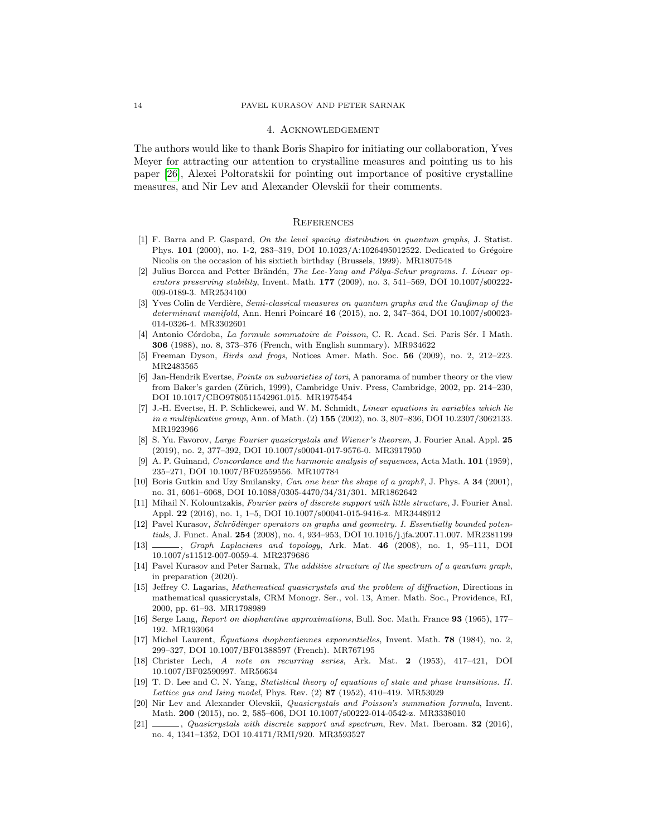#### 4. Acknowledgement

The authors would like to thank Boris Shapiro for initiating our collaboration, Yves Meyer for attracting our attention to crystalline measures and pointing us to his paper [\[26\]](#page-14-7), Alexei Poltoratskii for pointing out importance of positive crystalline measures, and Nir Lev and Alexander Olevskii for their comments.

### **REFERENCES**

- <span id="page-13-9"></span>[1] F. Barra and P. Gaspard, On the level spacing distribution in quantum graphs, J. Statist. Phys. 101 (2000), no. 1-2, 283-319, DOI 10.1023/A:1026495012522. Dedicated to Grégoire Nicolis on the occasion of his sixtieth birthday (Brussels, 1999). MR1807548
- <span id="page-13-8"></span>[2] Julius Borcea and Petter Brändén, The Lee-Yang and Pólya-Schur programs. I. Linear operators preserving stability, Invent. Math.  $177$  (2009), no. 3, 541–569, DOI 10.1007/s00222-009-0189-3. MR2534100
- <span id="page-13-10"></span>[3] Yves Colin de Verdière, Semi-classical measures on quantum graphs and the Gaußmap of the determinant manifold, Ann. Henri Poincaré 16 (2015), no. 2, 347-364, DOI 10.1007/s00023-014-0326-4. MR3302601
- <span id="page-13-2"></span>[4] Antonio Córdoba, La formule sommatoire de Poisson, C. R. Acad. Sci. Paris Sér. I Math. 306 (1988), no. 8, 373–376 (French, with English summary). MR934622
- <span id="page-13-6"></span>[5] Freeman Dyson, Birds and frogs, Notices Amer. Math. Soc. 56 (2009), no. 2, 212–223. MR2483565
- <span id="page-13-18"></span>[6] Jan-Hendrik Evertse, Points on subvarieties of tori, A panorama of number theory or the view from Baker's garden (Zürich, 1999), Cambridge Univ. Press, Cambridge, 2002, pp. 214-230, DOI 10.1017/CBO9780511542961.015. MR1975454
- <span id="page-13-19"></span>[7] J.-H. Evertse, H. P. Schlickewei, and W. M. Schmidt, Linear equations in variables which lie in a multiplicative group, Ann. of Math. (2) 155 (2002), no. 3, 807-836, DOI 10.2307/3062133. MR1923966
- <span id="page-13-15"></span>[8] S. Yu. Favorov, Large Fourier quasicrystals and Wiener's theorem, J. Fourier Anal. Appl. 25 (2019), no. 2, 377–392, DOI 10.1007/s00041-017-9576-0. MR3917950
- <span id="page-13-1"></span>[9] A. P. Guinand, *Concordance and the harmonic analysis of sequences*, Acta Math. **101** (1959), 235–271, DOI 10.1007/BF02559556. MR107784
- <span id="page-13-11"></span>[10] Boris Gutkin and Uzy Smilansky, Can one hear the shape of a graph?, J. Phys. A 34 (2001), no. 31, 6061–6068, DOI 10.1088/0305-4470/34/31/301. MR1862642
- <span id="page-13-4"></span>[11] Mihail N. Kolountzakis, Fourier pairs of discrete support with little structure, J. Fourier Anal. Appl. 22 (2016), no. 1, 1–5, DOI 10.1007/s00041-015-9416-z. MR3448912
- <span id="page-13-12"></span>[12] Pavel Kurasov, Schrödinger operators on graphs and geometry. I. Essentially bounded potentials, J. Funct. Anal. 254 (2008), no. 4, 934–953, DOI 10.1016/j.jfa.2007.11.007. MR2381199
- <span id="page-13-13"></span>[13] , Graph Laplacians and topology, Ark. Mat. 46 (2008), no. 1, 95–111, DOI 10.1007/s11512-007-0059-4. MR2379686
- <span id="page-13-0"></span>[14] Pavel Kurasov and Peter Sarnak, The additive structure of the spectrum of a quantum graph, in preparation (2020).
- <span id="page-13-17"></span>[15] Jeffrey C. Lagarias, Mathematical quasicrystals and the problem of diffraction, Directions in mathematical quasicrystals, CRM Monogr. Ser., vol. 13, Amer. Math. Soc., Providence, RI, 2000, pp. 61–93. MR1798989
- <span id="page-13-7"></span>[16] Serge Lang, Report on diophantine approximations, Bull. Soc. Math. France 93 (1965), 177– 192. MR193064
- <span id="page-13-20"></span>[17] Michel Laurent, Équations diophantiennes exponentielles, Invent. Math.  $78$  (1984), no. 2, 299–327, DOI 10.1007/BF01388597 (French). MR767195
- <span id="page-13-16"></span>[18] Christer Lech, A note on recurring series, Ark. Mat. 2 (1953), 417–421, DOI 10.1007/BF02590997. MR56634
- <span id="page-13-14"></span>[19] T. D. Lee and C. N. Yang, Statistical theory of equations of state and phase transitions. II. Lattice gas and Ising model, Phys. Rev. (2) 87 (1952), 410-419. MR53029
- <span id="page-13-3"></span>[20] Nir Lev and Alexander Olevskii, Quasicrystals and Poisson's summation formula, Invent. Math. 200 (2015), no. 2, 585–606, DOI 10.1007/s00222-014-0542-z. MR3338010
- <span id="page-13-5"></span>[21]  $\_\_\_\_\$ , Quasicrystals with discrete support and spectrum, Rev. Mat. Iberoam. 32 (2016), no. 4, 1341–1352, DOI 10.4171/RMI/920. MR3593527